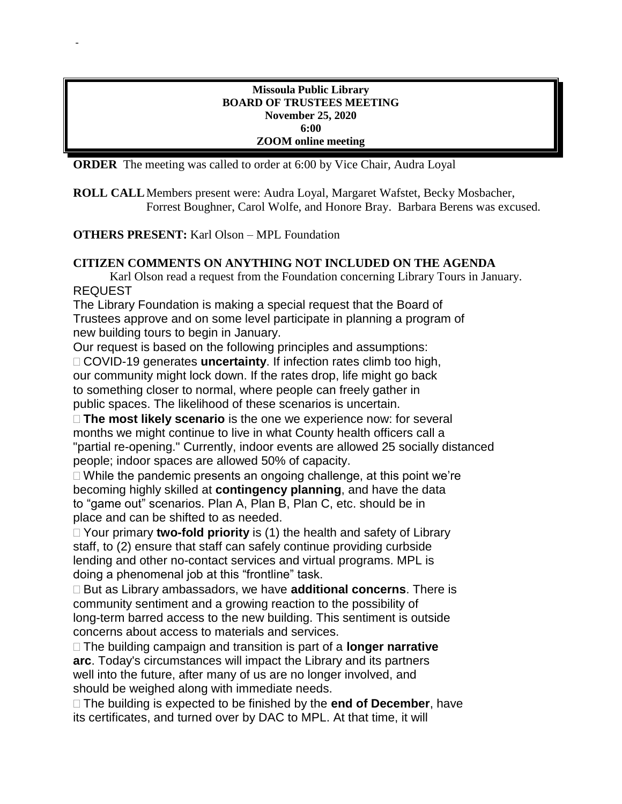#### **Missoula Public Library BOARD OF TRUSTEES MEETING November 25, 2020 6:00 ZOOM online meeting**

**ORDER** The meeting was called to order at 6:00 by Vice Chair, Audra Loyal

**ROLL CALL**Members present were: Audra Loyal, Margaret Wafstet, Becky Mosbacher, Forrest Boughner, Carol Wolfe, and Honore Bray. Barbara Berens was excused.

**OTHERS PRESENT:** Karl Olson – MPL Foundation

-

# **CITIZEN COMMENTS ON ANYTHING NOT INCLUDED ON THE AGENDA**

Karl Olson read a request from the Foundation concerning Library Tours in January. REQUEST

The Library Foundation is making a special request that the Board of Trustees approve and on some level participate in planning a program of new building tours to begin in January.

Our request is based on the following principles and assumptions:

 COVID-19 generates **uncertainty**. If infection rates climb too high, our community might lock down. If the rates drop, life might go back to something closer to normal, where people can freely gather in public spaces. The likelihood of these scenarios is uncertain.

 **The most likely scenario** is the one we experience now: for several months we might continue to live in what County health officers call a "partial re-opening." Currently, indoor events are allowed 25 socially distanced people; indoor spaces are allowed 50% of capacity.

 $\Box$  While the pandemic presents an ongoing challenge, at this point we're becoming highly skilled at **contingency planning**, and have the data to "game out" scenarios. Plan A, Plan B, Plan C, etc. should be in place and can be shifted to as needed.

 Your primary **two-fold priority** is (1) the health and safety of Library staff, to (2) ensure that staff can safely continue providing curbside lending and other no-contact services and virtual programs. MPL is doing a phenomenal job at this "frontline" task.

 But as Library ambassadors, we have **additional concerns**. There is community sentiment and a growing reaction to the possibility of long-term barred access to the new building. This sentiment is outside concerns about access to materials and services.

 The building campaign and transition is part of a **longer narrative arc**. Today's circumstances will impact the Library and its partners well into the future, after many of us are no longer involved, and should be weighed along with immediate needs.

 The building is expected to be finished by the **end of December**, have its certificates, and turned over by DAC to MPL. At that time, it will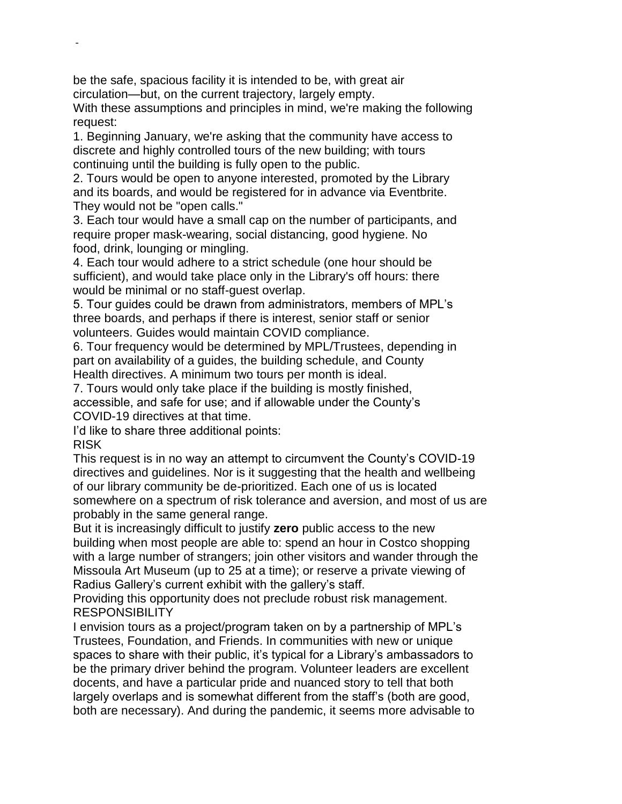be the safe, spacious facility it is intended to be, with great air circulation—but, on the current trajectory, largely empty.

With these assumptions and principles in mind, we're making the following request:

1. Beginning January, we're asking that the community have access to discrete and highly controlled tours of the new building; with tours continuing until the building is fully open to the public.

2. Tours would be open to anyone interested, promoted by the Library and its boards, and would be registered for in advance via Eventbrite. They would not be "open calls."

3. Each tour would have a small cap on the number of participants, and require proper mask-wearing, social distancing, good hygiene. No food, drink, lounging or mingling.

4. Each tour would adhere to a strict schedule (one hour should be sufficient), and would take place only in the Library's off hours: there would be minimal or no staff-guest overlap.

5. Tour guides could be drawn from administrators, members of MPL's three boards, and perhaps if there is interest, senior staff or senior volunteers. Guides would maintain COVID compliance.

6. Tour frequency would be determined by MPL/Trustees, depending in part on availability of a guides, the building schedule, and County Health directives. A minimum two tours per month is ideal.

7. Tours would only take place if the building is mostly finished, accessible, and safe for use; and if allowable under the County's COVID-19 directives at that time.

I'd like to share three additional points:

RISK

-

This request is in no way an attempt to circumvent the County's COVID-19 directives and guidelines. Nor is it suggesting that the health and wellbeing of our library community be de-prioritized. Each one of us is located somewhere on a spectrum of risk tolerance and aversion, and most of us are probably in the same general range.

But it is increasingly difficult to justify **zero** public access to the new building when most people are able to: spend an hour in Costco shopping with a large number of strangers; join other visitors and wander through the Missoula Art Museum (up to 25 at a time); or reserve a private viewing of Radius Gallery's current exhibit with the gallery's staff.

Providing this opportunity does not preclude robust risk management. RESPONSIBILITY

I envision tours as a project/program taken on by a partnership of MPL's Trustees, Foundation, and Friends. In communities with new or unique spaces to share with their public, it's typical for a Library's ambassadors to be the primary driver behind the program. Volunteer leaders are excellent docents, and have a particular pride and nuanced story to tell that both largely overlaps and is somewhat different from the staff's (both are good, both are necessary). And during the pandemic, it seems more advisable to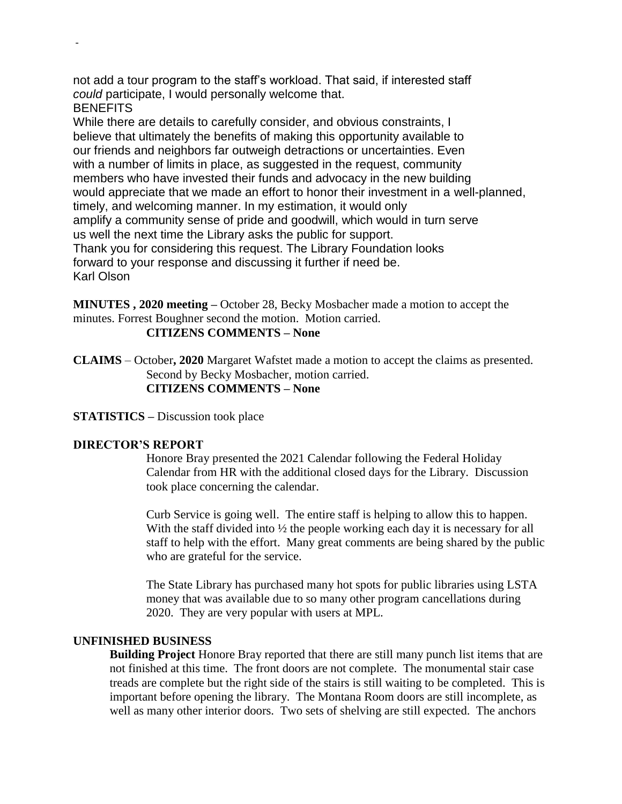not add a tour program to the staff's workload. That said, if interested staff *could* participate, I would personally welcome that.

**BENEFITS** 

-

While there are details to carefully consider, and obvious constraints, I believe that ultimately the benefits of making this opportunity available to our friends and neighbors far outweigh detractions or uncertainties. Even with a number of limits in place, as suggested in the request, community members who have invested their funds and advocacy in the new building would appreciate that we made an effort to honor their investment in a well-planned, timely, and welcoming manner. In my estimation, it would only amplify a community sense of pride and goodwill, which would in turn serve us well the next time the Library asks the public for support. Thank you for considering this request. The Library Foundation looks forward to your response and discussing it further if need be. Karl Olson

**MINUTES , 2020 meeting –** October 28, Becky Mosbacher made a motion to accept the minutes. Forrest Boughner second the motion. Motion carried.

**CITIZENS COMMENTS – None**

**CLAIMS** – October**, 2020** Margaret Wafstet made a motion to accept the claims as presented. Second by Becky Mosbacher, motion carried. **CITIZENS COMMENTS – None**

**STATISTICS –** Discussion took place

# **DIRECTOR'S REPORT**

Honore Bray presented the 2021 Calendar following the Federal Holiday Calendar from HR with the additional closed days for the Library. Discussion took place concerning the calendar.

Curb Service is going well. The entire staff is helping to allow this to happen. With the staff divided into  $\frac{1}{2}$  the people working each day it is necessary for all staff to help with the effort. Many great comments are being shared by the public who are grateful for the service.

The State Library has purchased many hot spots for public libraries using LSTA money that was available due to so many other program cancellations during 2020. They are very popular with users at MPL.

# **UNFINISHED BUSINESS**

**Building Project** Honore Bray reported that there are still many punch list items that are not finished at this time. The front doors are not complete. The monumental stair case treads are complete but the right side of the stairs is still waiting to be completed. This is important before opening the library. The Montana Room doors are still incomplete, as well as many other interior doors. Two sets of shelving are still expected. The anchors